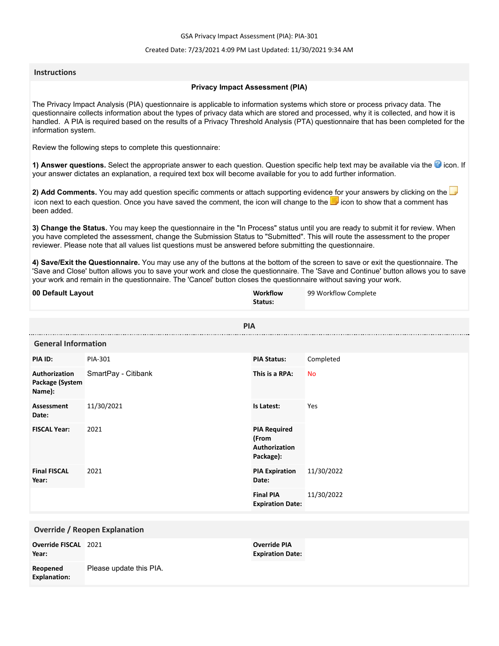GSA Privacy Impact Assessment (PIA): PIA-301

### Created Date: 7/23/2021 4:09 PM Last Updated: 11/30/2021 9:34 AM

## **Instructions**

## **Privacy Impact Assessment (PIA)**

The Privacy Impact Analysis (PIA) questionnaire is applicable to information systems which store or process privacy data. The questionnaire collects information about the types of privacy data which are stored and processed, why it is collected, and how it is handled. A PIA is required based on the results of a Privacy Threshold Analysis (PTA) questionnaire that has been completed for the information system.

Review the following steps to complete this questionnaire:

1) Answer questions. Select the appropriate answer to each question. Question specific help text may be available via the <sup>3</sup> icon. If your answer dictates an explanation, a required text box will become available for you to add further information.

**2) Add Comments.** You may add question specific comments or attach supporting evidence for your answers by clicking on the icon next to each question. Once you have saved the comment, the icon will change to the **i** icon to show that a comment has been added.

**3) Change the Status.** You may keep the questionnaire in the "In Process" status until you are ready to submit it for review. When you have completed the assessment, change the Submission Status to "Submitted". This will route the assessment to the proper reviewer. Please note that all values list questions must be answered before submitting the questionnaire.

**4) Save/Exit the Questionnaire.** You may use any of the buttons at the bottom of the screen to save or exit the questionnaire. The 'Save and Close' button allows you to save your work and close the questionnaire. The 'Save and Continue' button allows you to save your work and remain in the questionnaire. The 'Cancel' button closes the questionnaire without saving your work.

| 00 Default Layout                          |                         | Workflow<br>Status:                                        | 99 Workflow Complete |
|--------------------------------------------|-------------------------|------------------------------------------------------------|----------------------|
|                                            | <b>PIA</b>              |                                                            |                      |
| <b>General Information</b>                 |                         |                                                            |                      |
| PIA ID:                                    | PIA-301                 | <b>PIA Status:</b>                                         | Completed            |
| Authorization<br>Package (System<br>Name): | SmartPay - Citibank     | This is a RPA:                                             | <b>No</b>            |
| <b>Assessment</b><br>Date:                 | 11/30/2021              | Is Latest:                                                 | Yes                  |
| <b>FISCAL Year:</b>                        | 2021                    | <b>PIA Required</b><br>(From<br>Authorization<br>Package): |                      |
| <b>Final FISCAL</b><br>Year:               | 2021                    | <b>PIA Expiration</b><br>Date:                             | 11/30/2022           |
|                                            |                         | <b>Final PIA</b><br><b>Expiration Date:</b>                | 11/30/2022           |
| <b>Override / Reopen Explanation</b>       |                         |                                                            |                      |
| Override FISCAL 2021<br>Year:              |                         | <b>Override PIA</b><br><b>Expiration Date:</b>             |                      |
| Reopened<br><b>Explanation:</b>            | Please update this PIA. |                                                            |                      |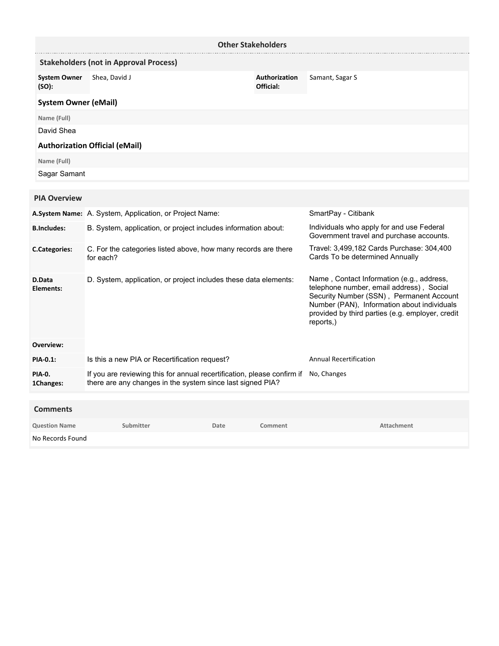| <b>Other Stakeholders</b>    |                                                                                                                                       |                            |                                                                                                                                                                                                                                                   |
|------------------------------|---------------------------------------------------------------------------------------------------------------------------------------|----------------------------|---------------------------------------------------------------------------------------------------------------------------------------------------------------------------------------------------------------------------------------------------|
|                              | <b>Stakeholders (not in Approval Process)</b>                                                                                         |                            |                                                                                                                                                                                                                                                   |
| <b>System Owner</b><br>(SO): | Shea, David J                                                                                                                         | Authorization<br>Official: | Samant, Sagar S                                                                                                                                                                                                                                   |
| <b>System Owner (eMail)</b>  |                                                                                                                                       |                            |                                                                                                                                                                                                                                                   |
| Name (Full)                  |                                                                                                                                       |                            |                                                                                                                                                                                                                                                   |
| David Shea                   |                                                                                                                                       |                            |                                                                                                                                                                                                                                                   |
|                              | <b>Authorization Official (eMail)</b>                                                                                                 |                            |                                                                                                                                                                                                                                                   |
| Name (Full)                  |                                                                                                                                       |                            |                                                                                                                                                                                                                                                   |
| Sagar Samant                 |                                                                                                                                       |                            |                                                                                                                                                                                                                                                   |
|                              |                                                                                                                                       |                            |                                                                                                                                                                                                                                                   |
| <b>PIA Overview</b>          |                                                                                                                                       |                            |                                                                                                                                                                                                                                                   |
|                              | A.System Name: A. System, Application, or Project Name:                                                                               |                            | SmartPay - Citibank                                                                                                                                                                                                                               |
| <b>B.Includes:</b>           | B. System, application, or project includes information about:                                                                        |                            | Individuals who apply for and use Federal<br>Government travel and purchase accounts.                                                                                                                                                             |
| <b>C.Categories:</b>         | C. For the categories listed above, how many records are there<br>for each?                                                           |                            | Travel: 3,499,182 Cards Purchase: 304,400<br>Cards To be determined Annually                                                                                                                                                                      |
| D.Data<br>Elements:          | D. System, application, or project includes these data elements:                                                                      |                            | Name, Contact Information (e.g., address,<br>telephone number, email address), Social<br>Security Number (SSN), Permanent Account<br>Number (PAN), Information about individuals<br>provided by third parties (e.g. employer, credit<br>reports,) |
| Overview:                    |                                                                                                                                       |                            |                                                                                                                                                                                                                                                   |
| <b>PIA-0.1:</b>              | Is this a new PIA or Recertification request?                                                                                         |                            | <b>Annual Recertification</b>                                                                                                                                                                                                                     |
| <b>PIA-0.</b><br>1Changes:   | If you are reviewing this for annual recertification, please confirm if<br>there are any changes in the system since last signed PIA? |                            | No, Changes                                                                                                                                                                                                                                       |

| <b>Comments</b>      |           |      |         |            |
|----------------------|-----------|------|---------|------------|
| <b>Question Name</b> | Submitter | Date | Comment | Attachment |
| No Records Found     |           |      |         |            |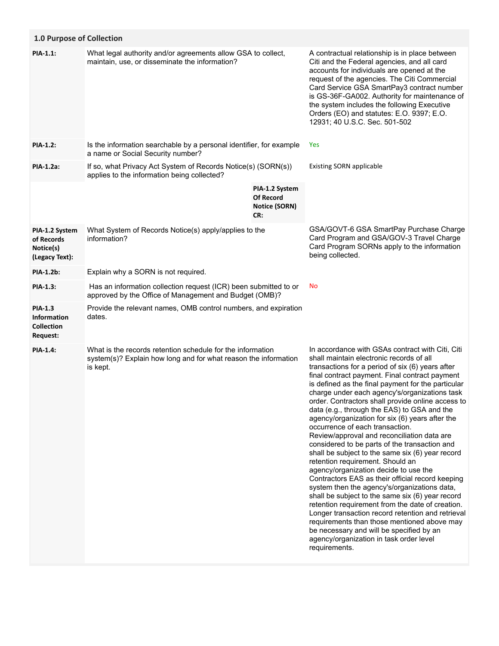| 1.0 Purpose of Collection                                             |                                                                                                                                           |                                                            |                                                                                                                                                                                                                                                                                                                                                                                                                                                                                                                                                                                                                                                                                                                                                                                                                                                                                                                                                                                                                                                                                                                                                              |
|-----------------------------------------------------------------------|-------------------------------------------------------------------------------------------------------------------------------------------|------------------------------------------------------------|--------------------------------------------------------------------------------------------------------------------------------------------------------------------------------------------------------------------------------------------------------------------------------------------------------------------------------------------------------------------------------------------------------------------------------------------------------------------------------------------------------------------------------------------------------------------------------------------------------------------------------------------------------------------------------------------------------------------------------------------------------------------------------------------------------------------------------------------------------------------------------------------------------------------------------------------------------------------------------------------------------------------------------------------------------------------------------------------------------------------------------------------------------------|
| PIA-1.1:                                                              | What legal authority and/or agreements allow GSA to collect,<br>maintain, use, or disseminate the information?                            |                                                            | A contractual relationship is in place between<br>Citi and the Federal agencies, and all card<br>accounts for individuals are opened at the<br>request of the agencies. The Citi Commercial<br>Card Service GSA SmartPay3 contract number<br>is GS-36F-GA002. Authority for maintenance of<br>the system includes the following Executive<br>Orders (EO) and statutes: E.O. 9397; E.O.<br>12931; 40 U.S.C. Sec. 501-502                                                                                                                                                                                                                                                                                                                                                                                                                                                                                                                                                                                                                                                                                                                                      |
| <b>PIA-1.2:</b>                                                       | Is the information searchable by a personal identifier, for example<br>a name or Social Security number?                                  |                                                            | <b>Yes</b>                                                                                                                                                                                                                                                                                                                                                                                                                                                                                                                                                                                                                                                                                                                                                                                                                                                                                                                                                                                                                                                                                                                                                   |
| PIA-1.2a:                                                             | If so, what Privacy Act System of Records Notice(s) (SORN(s))<br>applies to the information being collected?                              |                                                            | <b>Existing SORN applicable</b>                                                                                                                                                                                                                                                                                                                                                                                                                                                                                                                                                                                                                                                                                                                                                                                                                                                                                                                                                                                                                                                                                                                              |
|                                                                       |                                                                                                                                           | PIA-1.2 System<br><b>Of Record</b><br>Notice (SORN)<br>CR: |                                                                                                                                                                                                                                                                                                                                                                                                                                                                                                                                                                                                                                                                                                                                                                                                                                                                                                                                                                                                                                                                                                                                                              |
| PIA-1.2 System<br>of Records<br>Notice(s)<br>(Legacy Text):           | What System of Records Notice(s) apply/applies to the<br>information?                                                                     |                                                            | GSA/GOVT-6 GSA SmartPay Purchase Charge<br>Card Program and GSA/GOV-3 Travel Charge<br>Card Program SORNs apply to the information<br>being collected.                                                                                                                                                                                                                                                                                                                                                                                                                                                                                                                                                                                                                                                                                                                                                                                                                                                                                                                                                                                                       |
| PIA-1.2b:                                                             | Explain why a SORN is not required.                                                                                                       |                                                            |                                                                                                                                                                                                                                                                                                                                                                                                                                                                                                                                                                                                                                                                                                                                                                                                                                                                                                                                                                                                                                                                                                                                                              |
| PIA-1.3:                                                              | Has an information collection request (ICR) been submitted to or<br>approved by the Office of Management and Budget (OMB)?                |                                                            | No                                                                                                                                                                                                                                                                                                                                                                                                                                                                                                                                                                                                                                                                                                                                                                                                                                                                                                                                                                                                                                                                                                                                                           |
| <b>PIA-1.3</b><br><b>Information</b><br><b>Collection</b><br>Request: | Provide the relevant names, OMB control numbers, and expiration<br>dates.                                                                 |                                                            |                                                                                                                                                                                                                                                                                                                                                                                                                                                                                                                                                                                                                                                                                                                                                                                                                                                                                                                                                                                                                                                                                                                                                              |
| <b>PIA-1.4:</b>                                                       | What is the records retention schedule for the information<br>system(s)? Explain how long and for what reason the information<br>is kept. |                                                            | In accordance with GSAs contract with Citi, Citi<br>shall maintain electronic records of all<br>transactions for a period of six (6) years after<br>final contract payment. Final contract payment<br>is defined as the final payment for the particular<br>charge under each agency's/organizations task<br>order. Contractors shall provide online access to<br>data (e.g., through the EAS) to GSA and the<br>agency/organization for six (6) years after the<br>occurrence of each transaction.<br>Review/approval and reconciliation data are<br>considered to be parts of the transaction and<br>shall be subject to the same six (6) year record<br>retention requirement. Should an<br>agency/organization decide to use the<br>Contractors EAS as their official record keeping<br>system then the agency's/organizations data,<br>shall be subject to the same six (6) year record<br>retention requirement from the date of creation.<br>Longer transaction record retention and retrieval<br>requirements than those mentioned above may<br>be necessary and will be specified by an<br>agency/organization in task order level<br>requirements. |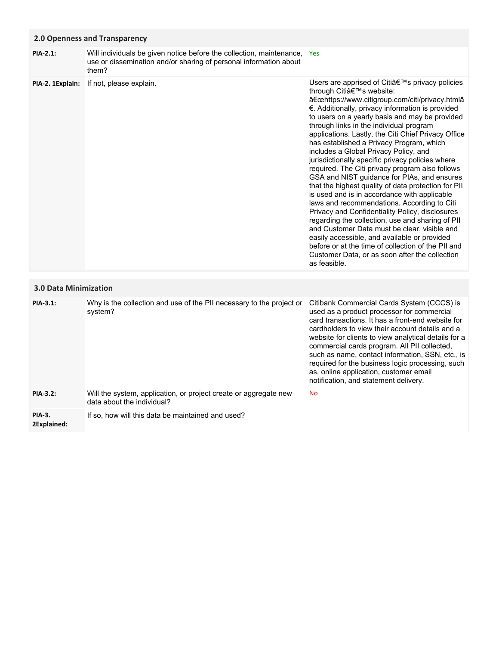## **2.0 Openness and Transparency**

Users are apprised of Citi's privacy policies through Citia<sup>€™</sup>s website: "https://www.citigroup.com/citi/privacy.htmlâ **PIA-2. 1Explain:** If not, please explain. Will individuals be given notice before the collection, maintenance, Yes use or dissemination and/or sharing of personal information about them? **PIA-2.1:**

€. Additionally, privacy information is provided to users on a yearly basis and may be provided through links in the individual program applications. Lastly, the Citi Chief Privacy Office has established a Privacy Program, which includes a Global Privacy Policy, and jurisdictionally specific privacy policies where required. The Citi privacy program also follows GSA and NIST guidance for PIAs, and ensures that the highest quality of data protection for PII is used and is in accordance with applicable laws and recommendations. According to Citi Privacy and Confidentiality Policy, disclosures regarding the collection, use and sharing of PII and Customer Data must be clear, visible and easily accessible, and available or provided before or at the time of collection of the PII and Customer Data, or as soon after the collection as feasible.

# **3.0 Data Minimization**

| PIA-3.1:                     | Why is the collection and use of the PII necessary to the project or<br>system?                | Citibank Commercial Cards System (CCCS) is<br>used as a product processor for commercial<br>card transactions. It has a front-end website for<br>cardholders to view their account details and a<br>website for clients to view analytical details for a<br>commercial cards program. All PII collected,<br>such as name, contact information, SSN, etc., is<br>required for the business logic processing, such<br>as, online application, customer email<br>notification, and statement delivery. |
|------------------------------|------------------------------------------------------------------------------------------------|-----------------------------------------------------------------------------------------------------------------------------------------------------------------------------------------------------------------------------------------------------------------------------------------------------------------------------------------------------------------------------------------------------------------------------------------------------------------------------------------------------|
| <b>PIA-3.2:</b>              | Will the system, application, or project create or aggregate new<br>data about the individual? | <b>No</b>                                                                                                                                                                                                                                                                                                                                                                                                                                                                                           |
| <b>PIA-3.</b><br>2Explained: | If so, how will this data be maintained and used?                                              |                                                                                                                                                                                                                                                                                                                                                                                                                                                                                                     |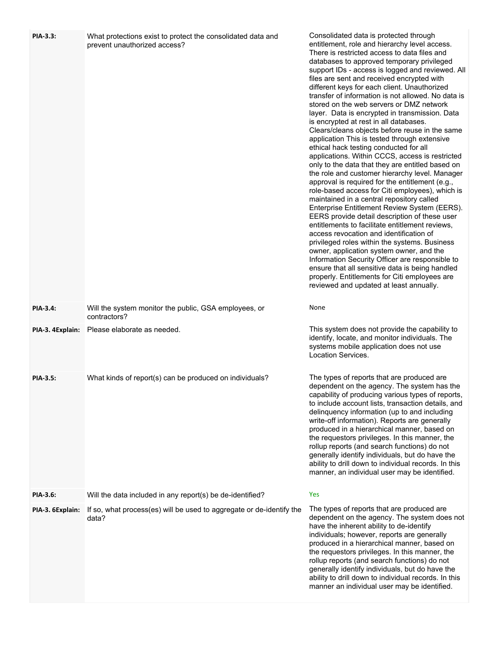| PIA-3.3:         | What protections exist to protect the consolidated data and<br>prevent unauthorized access? | Consolidated data is protected through<br>entitlement, role and hierarchy level access.<br>There is restricted access to data files and<br>databases to approved temporary privileged<br>support IDs - access is logged and reviewed. All<br>files are sent and received encrypted with<br>different keys for each client. Unauthorized<br>transfer of information is not allowed. No data is<br>stored on the web servers or DMZ network<br>layer. Data is encrypted in transmission. Data<br>is encrypted at rest in all databases.<br>Clears/cleans objects before reuse in the same<br>application This is tested through extensive<br>ethical hack testing conducted for all<br>applications. Within CCCS, access is restricted<br>only to the data that they are entitled based on<br>the role and customer hierarchy level. Manager<br>approval is required for the entitlement (e.g.,<br>role-based access for Citi employees), which is<br>maintained in a central repository called<br>Enterprise Entitlement Review System (EERS).<br>EERS provide detail description of these user<br>entitlements to facilitate entitlement reviews,<br>access revocation and identification of<br>privileged roles within the systems. Business<br>owner, application system owner, and the<br>Information Security Officer are responsible to<br>ensure that all sensitive data is being handled<br>properly. Entitlements for Citi employees are<br>reviewed and updated at least annually. |
|------------------|---------------------------------------------------------------------------------------------|---------------------------------------------------------------------------------------------------------------------------------------------------------------------------------------------------------------------------------------------------------------------------------------------------------------------------------------------------------------------------------------------------------------------------------------------------------------------------------------------------------------------------------------------------------------------------------------------------------------------------------------------------------------------------------------------------------------------------------------------------------------------------------------------------------------------------------------------------------------------------------------------------------------------------------------------------------------------------------------------------------------------------------------------------------------------------------------------------------------------------------------------------------------------------------------------------------------------------------------------------------------------------------------------------------------------------------------------------------------------------------------------------------------------------------------------------------------------------------------------|
| <b>PIA-3.4:</b>  | Will the system monitor the public, GSA employees, or<br>contractors?                       | None                                                                                                                                                                                                                                                                                                                                                                                                                                                                                                                                                                                                                                                                                                                                                                                                                                                                                                                                                                                                                                                                                                                                                                                                                                                                                                                                                                                                                                                                                        |
| PIA-3. 4Explain: | Please elaborate as needed.                                                                 | This system does not provide the capability to<br>identify, locate, and monitor individuals. The<br>systems mobile application does not use<br>Location Services.                                                                                                                                                                                                                                                                                                                                                                                                                                                                                                                                                                                                                                                                                                                                                                                                                                                                                                                                                                                                                                                                                                                                                                                                                                                                                                                           |
| <b>PIA-3.5:</b>  | What kinds of report(s) can be produced on individuals?                                     | The types of reports that are produced are<br>dependent on the agency. The system has the<br>capability of producing various types of reports,<br>to include account lists, transaction details, and<br>delinquency information (up to and including<br>write-off information). Reports are generally<br>produced in a hierarchical manner, based on<br>the requestors privileges. In this manner, the<br>rollup reports (and search functions) do not<br>generally identify individuals, but do have the<br>ability to drill down to individual records. In this<br>manner, an individual user may be identified.                                                                                                                                                                                                                                                                                                                                                                                                                                                                                                                                                                                                                                                                                                                                                                                                                                                                          |
| <b>PIA-3.6:</b>  | Will the data included in any report(s) be de-identified?                                   | Yes                                                                                                                                                                                                                                                                                                                                                                                                                                                                                                                                                                                                                                                                                                                                                                                                                                                                                                                                                                                                                                                                                                                                                                                                                                                                                                                                                                                                                                                                                         |
| PIA-3. 6Explain: | If so, what process(es) will be used to aggregate or de-identify the<br>data?               | The types of reports that are produced are<br>dependent on the agency. The system does not<br>have the inherent ability to de-identify<br>individuals; however, reports are generally<br>produced in a hierarchical manner, based on<br>the requestors privileges. In this manner, the<br>rollup reports (and search functions) do not<br>generally identify individuals, but do have the<br>ability to drill down to individual records. In this<br>manner an individual user may be identified.                                                                                                                                                                                                                                                                                                                                                                                                                                                                                                                                                                                                                                                                                                                                                                                                                                                                                                                                                                                           |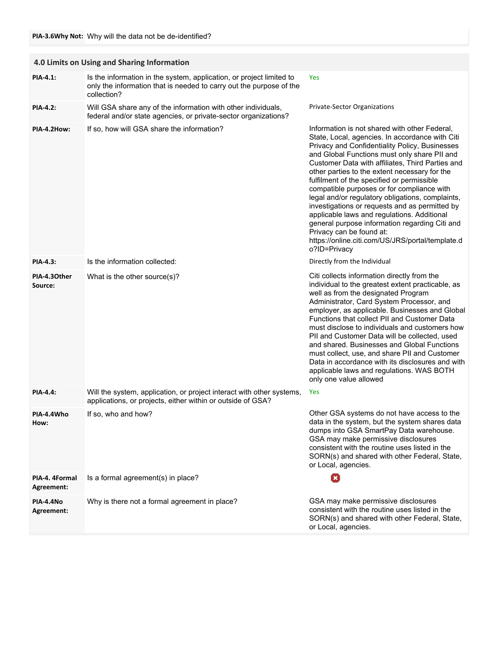|                              | 4.0 Limits on Using and Sharing Information                                                                                                                |                                                                                                                                                                                                                                                                                                                                                                                                                                                                                                                                                                                                                                                                                                            |
|------------------------------|------------------------------------------------------------------------------------------------------------------------------------------------------------|------------------------------------------------------------------------------------------------------------------------------------------------------------------------------------------------------------------------------------------------------------------------------------------------------------------------------------------------------------------------------------------------------------------------------------------------------------------------------------------------------------------------------------------------------------------------------------------------------------------------------------------------------------------------------------------------------------|
| PIA-4.1:                     | Is the information in the system, application, or project limited to<br>only the information that is needed to carry out the purpose of the<br>collection? | <b>Yes</b>                                                                                                                                                                                                                                                                                                                                                                                                                                                                                                                                                                                                                                                                                                 |
| <b>PIA-4.2:</b>              | Will GSA share any of the information with other individuals,<br>federal and/or state agencies, or private-sector organizations?                           | Private-Sector Organizations                                                                                                                                                                                                                                                                                                                                                                                                                                                                                                                                                                                                                                                                               |
| PIA-4.2How:                  | If so, how will GSA share the information?                                                                                                                 | Information is not shared with other Federal,<br>State, Local, agencies. In accordance with Citi<br>Privacy and Confidentiality Policy, Businesses<br>and Global Functions must only share PII and<br>Customer Data with affiliates, Third Parties and<br>other parties to the extent necessary for the<br>fulfilment of the specified or permissible<br>compatible purposes or for compliance with<br>legal and/or regulatory obligations, complaints,<br>investigations or requests and as permitted by<br>applicable laws and regulations. Additional<br>general purpose information regarding Citi and<br>Privacy can be found at:<br>https://online.citi.com/US/JRS/portal/template.d<br>o?ID=Privacy |
| <b>PIA-4.3:</b>              | Is the information collected:                                                                                                                              | Directly from the Individual                                                                                                                                                                                                                                                                                                                                                                                                                                                                                                                                                                                                                                                                               |
| PIA-4.30ther<br>Source:      | What is the other source(s)?                                                                                                                               | Citi collects information directly from the<br>individual to the greatest extent practicable, as<br>well as from the designated Program<br>Administrator, Card System Processor, and<br>employer, as applicable. Businesses and Global<br>Functions that collect PII and Customer Data<br>must disclose to individuals and customers how<br>PII and Customer Data will be collected, used<br>and shared. Businesses and Global Functions<br>must collect, use, and share PII and Customer<br>Data in accordance with its disclosures and with<br>applicable laws and regulations. WAS BOTH<br>only one value allowed                                                                                       |
| <b>PIA-4.4:</b>              | Will the system, application, or project interact with other systems,<br>applications, or projects, either within or outside of GSA?                       | Yes                                                                                                                                                                                                                                                                                                                                                                                                                                                                                                                                                                                                                                                                                                        |
| PIA-4.4Who<br>How:           | If so, who and how?                                                                                                                                        | Other GSA systems do not have access to the<br>data in the system, but the system shares data<br>dumps into GSA SmartPay Data warehouse.<br>GSA may make permissive disclosures<br>consistent with the routine uses listed in the<br>SORN(s) and shared with other Federal, State,<br>or Local, agencies.                                                                                                                                                                                                                                                                                                                                                                                                  |
| PIA-4. 4Formal<br>Agreement: | Is a formal agreement(s) in place?                                                                                                                         | O                                                                                                                                                                                                                                                                                                                                                                                                                                                                                                                                                                                                                                                                                                          |
| PIA-4.4No<br>Agreement:      | Why is there not a formal agreement in place?                                                                                                              | GSA may make permissive disclosures<br>consistent with the routine uses listed in the<br>SORN(s) and shared with other Federal, State,<br>or Local, agencies.                                                                                                                                                                                                                                                                                                                                                                                                                                                                                                                                              |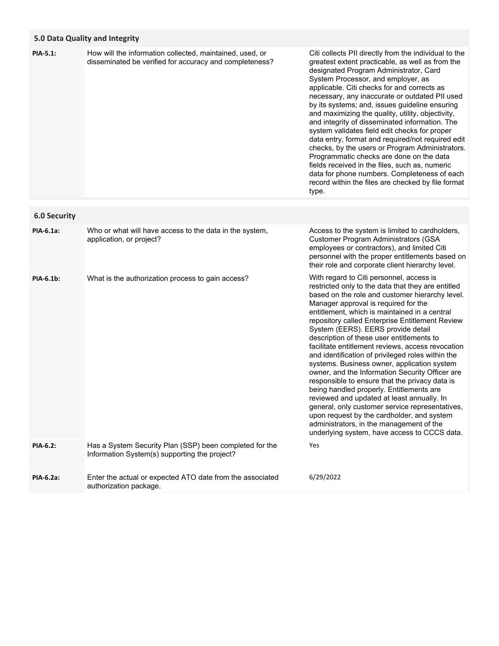# **5.0 Data Quality and Integrity**

| PIA-5.1:            | How will the information collected, maintained, used, or<br>disseminated be verified for accuracy and completeness? | Citi collects PII directly from the individual to the<br>greatest extent practicable, as well as from the<br>designated Program Administrator, Card<br>System Processor, and employer, as<br>applicable. Citi checks for and corrects as<br>necessary, any inaccurate or outdated PII used<br>by its systems; and, issues guideline ensuring<br>and maximizing the quality, utility, objectivity,<br>and integrity of disseminated information. The<br>system validates field edit checks for proper<br>data entry, format and required/not required edit<br>checks, by the users or Program Administrators.<br>Programmatic checks are done on the data<br>fields received in the files, such as, numeric<br>data for phone numbers. Completeness of each<br>record within the files are checked by file format<br>type.                                                                                                             |
|---------------------|---------------------------------------------------------------------------------------------------------------------|---------------------------------------------------------------------------------------------------------------------------------------------------------------------------------------------------------------------------------------------------------------------------------------------------------------------------------------------------------------------------------------------------------------------------------------------------------------------------------------------------------------------------------------------------------------------------------------------------------------------------------------------------------------------------------------------------------------------------------------------------------------------------------------------------------------------------------------------------------------------------------------------------------------------------------------|
| <b>6.0 Security</b> |                                                                                                                     |                                                                                                                                                                                                                                                                                                                                                                                                                                                                                                                                                                                                                                                                                                                                                                                                                                                                                                                                       |
| PIA-6.1a:           | Who or what will have access to the data in the system,<br>application, or project?                                 | Access to the system is limited to cardholders,<br><b>Customer Program Administrators (GSA</b><br>employees or contractors), and limited Citi<br>personnel with the proper entitlements based on<br>their role and corporate client hierarchy level.                                                                                                                                                                                                                                                                                                                                                                                                                                                                                                                                                                                                                                                                                  |
| PIA-6.1b:           | What is the authorization process to gain access?                                                                   | With regard to Citi personnel, access is<br>restricted only to the data that they are entitled<br>based on the role and customer hierarchy level.<br>Manager approval is required for the<br>entitlement, which is maintained in a central<br>repository called Enterprise Entitlement Review<br>System (EERS). EERS provide detail<br>description of these user entitlements to<br>facilitate entitlement reviews, access revocation<br>and identification of privileged roles within the<br>systems. Business owner, application system<br>owner, and the Information Security Officer are<br>responsible to ensure that the privacy data is<br>being handled properly. Entitlements are<br>reviewed and updated at least annually. In<br>general, only customer service representatives,<br>upon request by the cardholder, and system<br>administrators, in the management of the<br>underlying system, have access to CCCS data. |
| PIA-6.2:            | Has a System Security Plan (SSP) been completed for the<br>Information System(s) supporting the project?            | Yes                                                                                                                                                                                                                                                                                                                                                                                                                                                                                                                                                                                                                                                                                                                                                                                                                                                                                                                                   |
| PIA-6.2a:           | Enter the actual or expected ATO date from the associated<br>authorization package.                                 | 6/29/2022                                                                                                                                                                                                                                                                                                                                                                                                                                                                                                                                                                                                                                                                                                                                                                                                                                                                                                                             |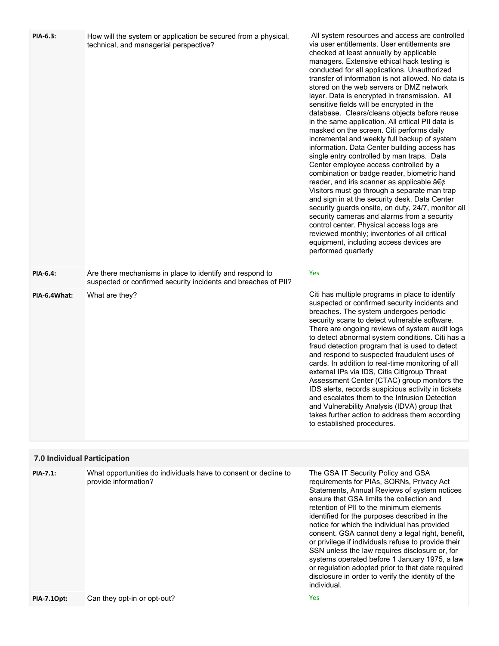| PIA-6.3:                     | How will the system or application be secured from a physical,<br>technical, and managerial perspective?                   | All system resources and access are controlled<br>via user entitlements. User entitlements are<br>checked at least annually by applicable<br>managers. Extensive ethical hack testing is<br>conducted for all applications. Unauthorized<br>transfer of information is not allowed. No data is<br>stored on the web servers or DMZ network<br>layer. Data is encrypted in transmission. All<br>sensitive fields will be encrypted in the<br>database. Clears/cleans objects before reuse<br>in the same application. All critical PII data is<br>masked on the screen. Citi performs daily<br>incremental and weekly full backup of system<br>information. Data Center building access has<br>single entry controlled by man traps. Data<br>Center employee access controlled by a<br>combination or badge reader, biometric hand<br>reader, and iris scanner as applicable $a \in \mathcal{C}$<br>Visitors must go through a separate man trap<br>and sign in at the security desk. Data Center<br>security guards onsite, on duty, 24/7, monitor all<br>security cameras and alarms from a security<br>control center. Physical access logs are<br>reviewed monthly; inventories of all critical<br>equipment, including access devices are<br>performed quarterly |
|------------------------------|----------------------------------------------------------------------------------------------------------------------------|----------------------------------------------------------------------------------------------------------------------------------------------------------------------------------------------------------------------------------------------------------------------------------------------------------------------------------------------------------------------------------------------------------------------------------------------------------------------------------------------------------------------------------------------------------------------------------------------------------------------------------------------------------------------------------------------------------------------------------------------------------------------------------------------------------------------------------------------------------------------------------------------------------------------------------------------------------------------------------------------------------------------------------------------------------------------------------------------------------------------------------------------------------------------------------------------------------------------------------------------------------------------|
| <b>PIA-6.4:</b>              | Are there mechanisms in place to identify and respond to<br>suspected or confirmed security incidents and breaches of PII? | Yes                                                                                                                                                                                                                                                                                                                                                                                                                                                                                                                                                                                                                                                                                                                                                                                                                                                                                                                                                                                                                                                                                                                                                                                                                                                                  |
| PIA-6.4What:                 | What are they?                                                                                                             | Citi has multiple programs in place to identify<br>suspected or confirmed security incidents and<br>breaches. The system undergoes periodic<br>security scans to detect vulnerable software.<br>There are ongoing reviews of system audit logs<br>to detect abnormal system conditions. Citi has a<br>fraud detection program that is used to detect<br>and respond to suspected fraudulent uses of<br>cards. In addition to real-time monitoring of all<br>external IPs via IDS, Citis Citigroup Threat<br>Assessment Center (CTAC) group monitors the<br>IDS alerts, records suspicious activity in tickets<br>and escalates them to the Intrusion Detection<br>and Vulnerability Analysis (IDVA) group that<br>takes further action to address them according<br>to established procedures.                                                                                                                                                                                                                                                                                                                                                                                                                                                                       |
| 7.0 Individual Participation |                                                                                                                            |                                                                                                                                                                                                                                                                                                                                                                                                                                                                                                                                                                                                                                                                                                                                                                                                                                                                                                                                                                                                                                                                                                                                                                                                                                                                      |
| <b>PIA-7.1:</b>              | What opportunities do individuals have to consent or decline to<br>provide information?                                    | The GSA IT Security Policy and GSA<br>requirements for PIAs, SORNs, Privacy Act<br>Statements, Annual Reviews of system notices<br>ensure that GSA limits the collection and<br>retention of PII to the minimum elements<br>identified for the purposes described in the<br>notice for which the individual has provided<br>consent. GSA cannot deny a legal right, benefit,<br>or privilege if individuals refuse to provide their<br>SSN unless the law requires disclosure or, for<br>systems operated before 1 January 1975, a law<br>or regulation adopted prior to that date required<br>disclosure in order to verify the identity of the<br>individual.                                                                                                                                                                                                                                                                                                                                                                                                                                                                                                                                                                                                      |
| PIA-7.10pt:                  | Can they opt-in or opt-out?                                                                                                | Yes                                                                                                                                                                                                                                                                                                                                                                                                                                                                                                                                                                                                                                                                                                                                                                                                                                                                                                                                                                                                                                                                                                                                                                                                                                                                  |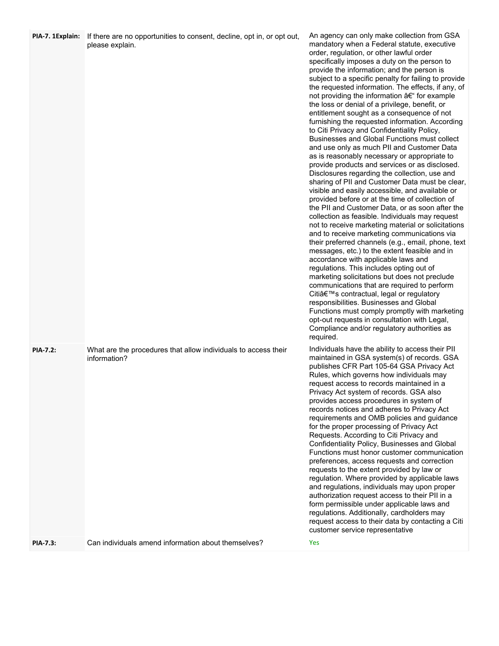| PIA-7. 1Explain: | If there are no opportunities to consent, decline, opt in, or opt out,<br>please explain. | An agency can only make collection from GSA<br>mandatory when a Federal statute, executive<br>order, regulation, or other lawful order<br>specifically imposes a duty on the person to<br>provide the information; and the person is<br>subject to a specific penalty for failing to provide<br>the requested information. The effects, if any, of<br>not providing the information – for example<br>the loss or denial of a privilege, benefit, or<br>entitlement sought as a consequence of not<br>furnishing the requested information. According<br>to Citi Privacy and Confidentiality Policy,<br>Businesses and Global Functions must collect<br>and use only as much PII and Customer Data<br>as is reasonably necessary or appropriate to<br>provide products and services or as disclosed.<br>Disclosures regarding the collection, use and<br>sharing of PII and Customer Data must be clear,<br>visible and easily accessible, and available or<br>provided before or at the time of collection of<br>the PII and Customer Data, or as soon after the<br>collection as feasible. Individuals may request<br>not to receive marketing material or solicitations<br>and to receive marketing communications via<br>their preferred channels (e.g., email, phone, text<br>messages, etc.) to the extent feasible and in<br>accordance with applicable laws and<br>regulations. This includes opting out of<br>marketing solicitations but does not preclude<br>communications that are required to perform<br>Citi's contractual, legal or regulatory<br>responsibilities. Businesses and Global<br>Functions must comply promptly with marketing<br>opt-out requests in consultation with Legal,<br>Compliance and/or regulatory authorities as<br>required. |
|------------------|-------------------------------------------------------------------------------------------|-----------------------------------------------------------------------------------------------------------------------------------------------------------------------------------------------------------------------------------------------------------------------------------------------------------------------------------------------------------------------------------------------------------------------------------------------------------------------------------------------------------------------------------------------------------------------------------------------------------------------------------------------------------------------------------------------------------------------------------------------------------------------------------------------------------------------------------------------------------------------------------------------------------------------------------------------------------------------------------------------------------------------------------------------------------------------------------------------------------------------------------------------------------------------------------------------------------------------------------------------------------------------------------------------------------------------------------------------------------------------------------------------------------------------------------------------------------------------------------------------------------------------------------------------------------------------------------------------------------------------------------------------------------------------------------------------------------------------------------------------------------------------|
| <b>PIA-7.2:</b>  | What are the procedures that allow individuals to access their<br>information?            | Individuals have the ability to access their PII<br>maintained in GSA system(s) of records. GSA<br>publishes CFR Part 105-64 GSA Privacy Act<br>Rules, which governs how individuals may<br>request access to records maintained in a<br>Privacy Act system of records. GSA also<br>provides access procedures in system of<br>records notices and adheres to Privacy Act<br>requirements and OMB policies and guidance<br>for the proper processing of Privacy Act<br>Requests. According to Citi Privacy and<br>Confidentiality Policy, Businesses and Global<br>Functions must honor customer communication<br>preferences, access requests and correction<br>requests to the extent provided by law or<br>regulation. Where provided by applicable laws<br>and regulations, individuals may upon proper<br>authorization request access to their PII in a<br>form permissible under applicable laws and<br>regulations. Additionally, cardholders may<br>request access to their data by contacting a Citi<br>customer service representative                                                                                                                                                                                                                                                                                                                                                                                                                                                                                                                                                                                                                                                                                                                     |
| PIA-7.3:         | Can individuals amend information about themselves?                                       | Yes                                                                                                                                                                                                                                                                                                                                                                                                                                                                                                                                                                                                                                                                                                                                                                                                                                                                                                                                                                                                                                                                                                                                                                                                                                                                                                                                                                                                                                                                                                                                                                                                                                                                                                                                                                   |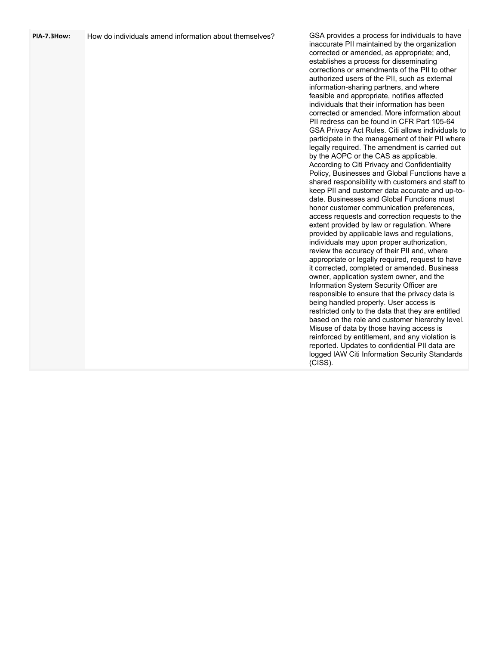| PIA-7.3How: | How do individuals amend information about themselves? | GSA provides a process for individuals to have<br>inaccurate PII maintained by the organization<br>corrected or amended, as appropriate; and,<br>establishes a process for disseminating<br>corrections or amendments of the PII to other<br>authorized users of the PII, such as external<br>information-sharing partners, and where<br>feasible and appropriate, notifies affected<br>individuals that their information has been<br>corrected or amended. More information about<br>PII redress can be found in CFR Part 105-64<br>GSA Privacy Act Rules. Citi allows individuals to<br>participate in the management of their PII where<br>legally required. The amendment is carried out<br>by the AOPC or the CAS as applicable.<br>According to Citi Privacy and Confidentiality<br>Policy, Businesses and Global Functions have a<br>shared responsibility with customers and staff to<br>keep PII and customer data accurate and up-to-<br>date. Businesses and Global Functions must<br>honor customer communication preferences,<br>access requests and correction requests to the<br>extent provided by law or regulation. Where<br>provided by applicable laws and regulations,<br>individuals may upon proper authorization,<br>review the accuracy of their PII and, where<br>appropriate or legally required, request to have<br>it corrected, completed or amended. Business<br>owner, application system owner, and the<br>Information System Security Officer are<br>responsible to ensure that the privacy data is<br>being handled properly. User access is<br>restricted only to the data that they are entitled<br>based on the role and customer hierarchy level.<br>Misuse of data by those having access is<br>reinforced by entitlement, and any violation is<br>reported. Updates to confidential PII data are<br>logged IAW Citi Information Security Standards<br>(CISS). |
|-------------|--------------------------------------------------------|---------------------------------------------------------------------------------------------------------------------------------------------------------------------------------------------------------------------------------------------------------------------------------------------------------------------------------------------------------------------------------------------------------------------------------------------------------------------------------------------------------------------------------------------------------------------------------------------------------------------------------------------------------------------------------------------------------------------------------------------------------------------------------------------------------------------------------------------------------------------------------------------------------------------------------------------------------------------------------------------------------------------------------------------------------------------------------------------------------------------------------------------------------------------------------------------------------------------------------------------------------------------------------------------------------------------------------------------------------------------------------------------------------------------------------------------------------------------------------------------------------------------------------------------------------------------------------------------------------------------------------------------------------------------------------------------------------------------------------------------------------------------------------------------------------------------------------------------------------------------------------------------------------|